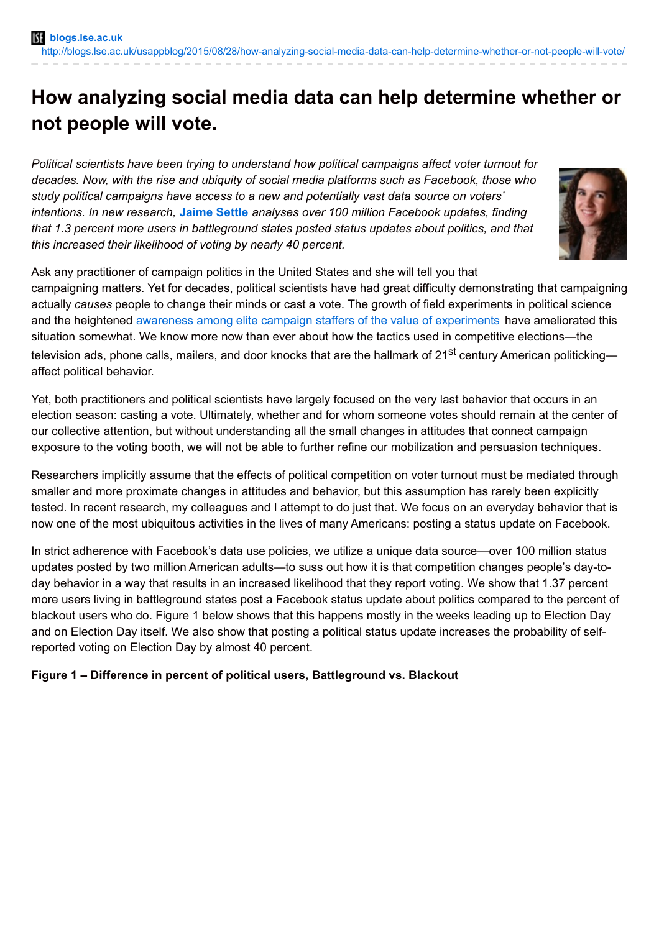# **How analyzing social media data can help determine whether or not people will vote.**

*Political scientists have been trying to understand how political campaigns affect voter turnout for decades. Now, with the rise and ubiquity of social media platforms such as Facebook, those who study political campaigns have access to a new and potentially vast data source on voters' intentions. In new research,* **[Jaime](http://wp.me/p3I2YF-43M#Author) Settle** *analyses over 100 million Facebook updates, finding that 1.3 percent more users in battleground states posted status updates about politics, and that this increased their likelihood of voting by nearly 40 percent.*



Ask any practitioner of campaign politics in the United States and she will tell you that

campaigning matters. Yet for decades, political scientists have had great difficulty demonstrating that campaigning actually *causes* people to change their minds or cast a vote. The growth of field experiments in political science and the heightened awareness among elite campaign staffers of the value of [experiments](http://www.thevictorylab.com/) have ameliorated this situation somewhat. We know more now than ever about how the tactics used in competitive elections—the television ads, phone calls, mailers, and door knocks that are the hallmark of 21<sup>st</sup> century American politicking affect political behavior.

Yet, both practitioners and political scientists have largely focused on the very last behavior that occurs in an election season: casting a vote. Ultimately, whether and for whom someone votes should remain at the center of our collective attention, but without understanding all the small changes in attitudes that connect campaign exposure to the voting booth, we will not be able to further refine our mobilization and persuasion techniques.

Researchers implicitly assume that the effects of political competition on voter turnout must be mediated through smaller and more proximate changes in attitudes and behavior, but this assumption has rarely been explicitly tested. In recent research, my colleagues and I attempt to do just that. We focus on an everyday behavior that is now one of the most ubiquitous activities in the lives of many Americans: posting a status update on Facebook.

In strict adherence with Facebook's data use policies, we utilize a unique data source—over 100 million status updates posted by two million American adults—to suss out how it is that competition changes people's day-today behavior in a way that results in an increased likelihood that they report voting. We show that 1.37 percent more users living in battleground states post a Facebook status update about politics compared to the percent of blackout users who do. Figure 1 below shows that this happens mostly in the weeks leading up to Election Day and on Election Day itself. We also show that posting a political status update increases the probability of selfreported voting on Election Day by almost 40 percent.

## **Figure 1 – Difference in percent of political users, Battleground vs. Blackout**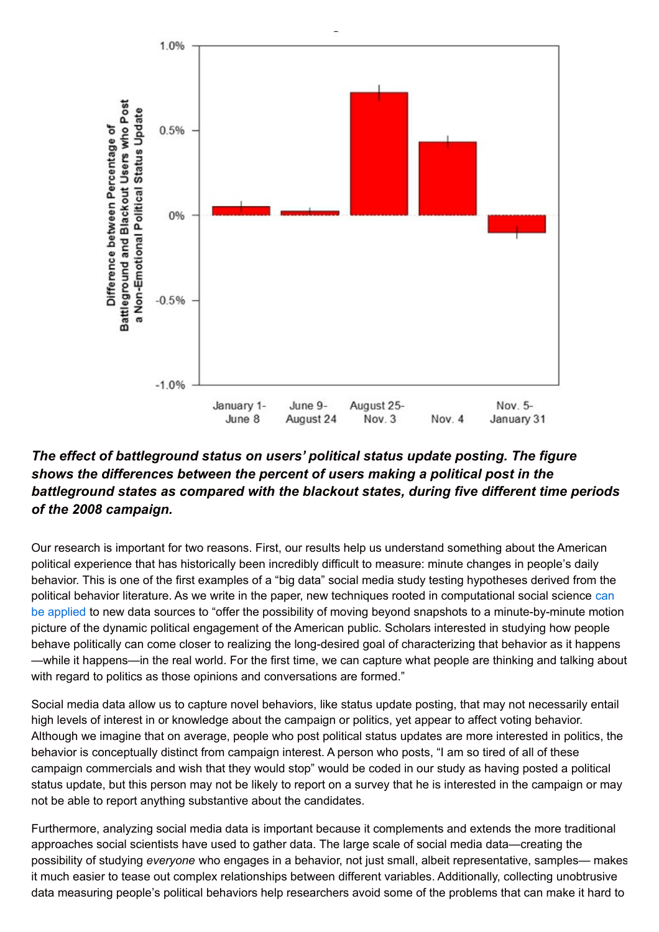

## *The effect of battleground status on users' political status update posting. The figure shows the differences between the percent of users making a political post in the battleground states as compared with the blackout states, during five different time periods of the 2008 campaign.*

Our research is important for two reasons. First, our results help us understand something about the American political experience that has historically been incredibly difficult to measure: minute changes in people's daily behavior. This is one of the first examples of a "big data" social media study testing hypotheses derived from the political behavior literature. As we write in the paper, new techniques rooted in computational social science can be applied to new data sources to "offer the possibility of moving beyond snapshots to a [minute-by-minute](http://www.sciencemag.org/content/323/5915/721) motion picture of the dynamic political engagement of the American public. Scholars interested in studying how people behave politically can come closer to realizing the long-desired goal of characterizing that behavior as it happens —while it happens—in the real world. For the first time, we can capture what people are thinking and talking about with regard to politics as those opinions and conversations are formed."

Social media data allow us to capture novel behaviors, like status update posting, that may not necessarily entail high levels of interest in or knowledge about the campaign or politics, yet appear to affect voting behavior. Although we imagine that on average, people who post political status updates are more interested in politics, the behavior is conceptually distinct from campaign interest. A person who posts, "I am so tired of all of these campaign commercials and wish that they would stop" would be coded in our study as having posted a political status update, but this person may not be likely to report on a survey that he is interested in the campaign or may not be able to report anything substantive about the candidates.

Furthermore, analyzing social media data is important because it complements and extends the more traditional approaches social scientists have used to gather data. The large scale of social media data—creating the possibility of studying *everyone* who engages in a behavior, not just small, albeit representative, samples— makes it much easier to tease out complex relationships between different variables. Additionally, collecting unobtrusive data measuring people's political behaviors help researchers avoid some of the problems that can make it hard to